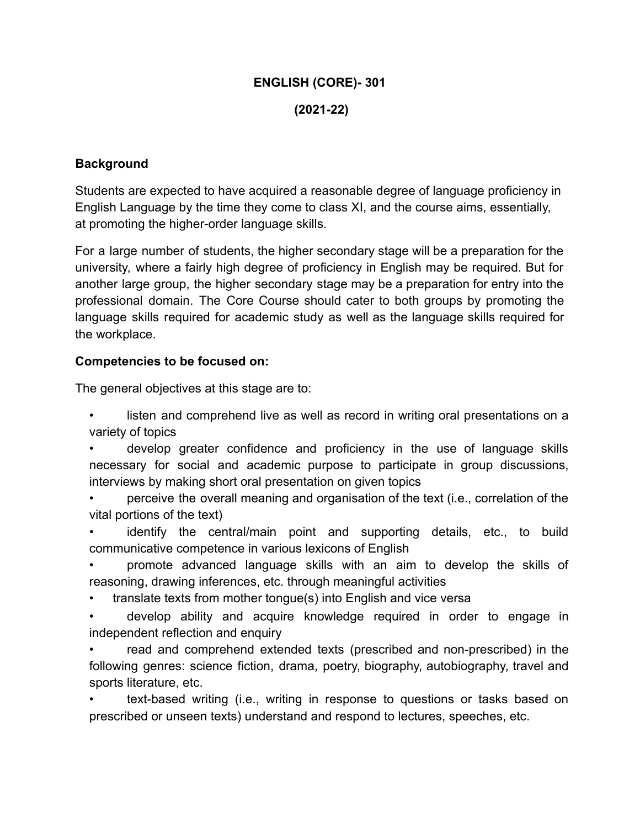### **ENGLISH (CORE)- 301**

#### **(2021-22)**

#### **Background**

Students are expected to have acquired a reasonable degree of language proficiency in English Language by the time they come to class XI, and the course aims, essentially, at promoting the higher-order language skills.

For a large number of students, the higher secondary stage will be a preparation for the university, where a fairly high degree of proficiency in English may be required. But for another large group, the higher secondary stage may be a preparation for entry into the professional domain. The Core Course should cater to both groups by promoting the language skills required for academic study as well as the language skills required for the workplace.

#### **Competencies to be focused on:**

The general objectives at this stage are to:

- listen and comprehend live as well as record in writing oral presentations on a variety of topics
- develop greater confidence and proficiency in the use of language skills necessary for social and academic purpose to participate in group discussions, interviews by making short oral presentation on given topics
- perceive the overall meaning and organisation of the text (i.e., correlation of the vital portions of the text)
- identify the central/main point and supporting details, etc., to build communicative competence in various lexicons of English
- promote advanced language skills with an aim to develop the skills of reasoning, drawing inferences, etc. through meaningful activities
- translate texts from mother tongue(s) into English and vice versa
- develop ability and acquire knowledge required in order to engage in independent reflection and enquiry
- read and comprehend extended texts (prescribed and non-prescribed) in the following genres: science fiction, drama, poetry, biography, autobiography, travel and sports literature, etc.
- text-based writing (i.e., writing in response to questions or tasks based on prescribed or unseen texts) understand and respond to lectures, speeches, etc.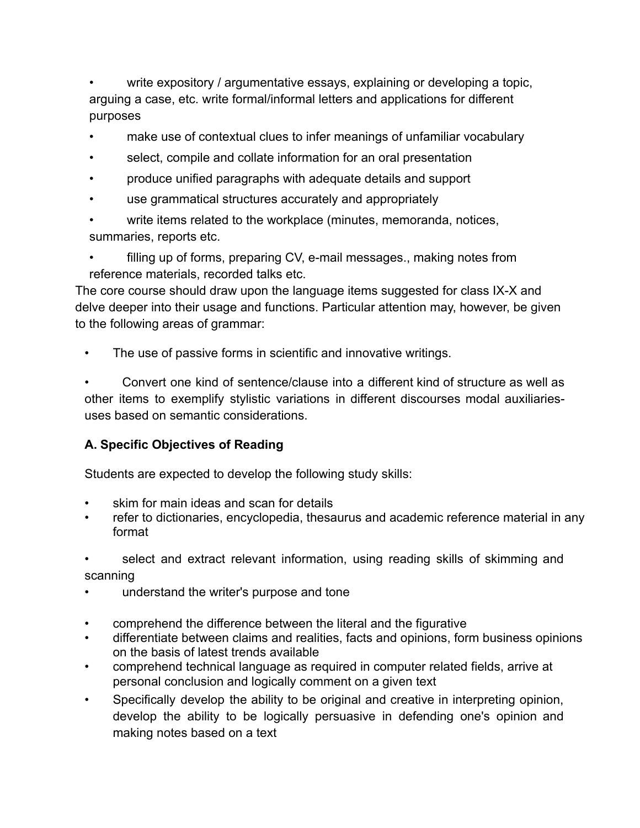• write expository / argumentative essays, explaining or developing a topic, arguing a case, etc. write formal/informal letters and applications for different purposes

- make use of contextual clues to infer meanings of unfamiliar vocabulary
- select, compile and collate information for an oral presentation
- produce unified paragraphs with adequate details and support
- use grammatical structures accurately and appropriately
- write items related to the workplace (minutes, memoranda, notices, summaries, reports etc.

• filling up of forms, preparing CV, e-mail messages., making notes from reference materials, recorded talks etc.

The core course should draw upon the language items suggested for class IX-X and delve deeper into their usage and functions. Particular attention may, however, be given to the following areas of grammar:

The use of passive forms in scientific and innovative writings.

• Convert one kind of sentence/clause into a different kind of structure as well as other items to exemplify stylistic variations in different discourses modal auxiliariesuses based on semantic considerations.

# **A. Specific Objectives of Reading**

Students are expected to develop the following study skills:

- skim for main ideas and scan for details
- refer to dictionaries, encyclopedia, thesaurus and academic reference material in any format

select and extract relevant information, using reading skills of skimming and scanning

- understand the writer's purpose and tone
- comprehend the difference between the literal and the figurative
- differentiate between claims and realities, facts and opinions, form business opinions on the basis of latest trends available
- comprehend technical language as required in computer related fields, arrive at personal conclusion and logically comment on a given text
- Specifically develop the ability to be original and creative in interpreting opinion, develop the ability to be logically persuasive in defending one's opinion and making notes based on a text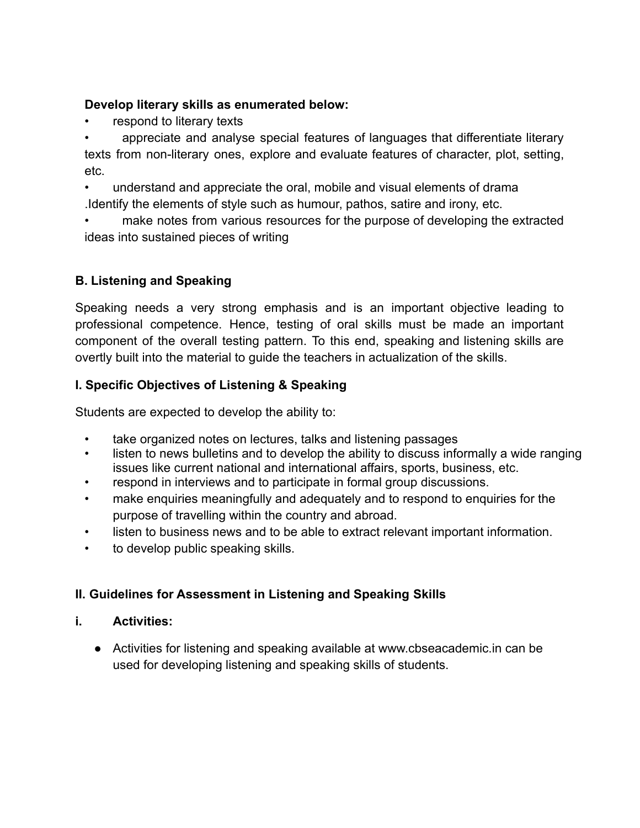# **Develop literary skills as enumerated below:**

respond to literary texts

• appreciate and analyse special features of languages that differentiate literary texts from non-literary ones, explore and evaluate features of character, plot, setting, etc.

• understand and appreciate the oral, mobile and visual elements of drama .Identify the elements of style such as humour, pathos, satire and irony, etc.

make notes from various resources for the purpose of developing the extracted ideas into sustained pieces of writing

# **B. Listening and Speaking**

Speaking needs a very strong emphasis and is an important objective leading to professional competence. Hence, testing of oral skills must be made an important component of the overall testing pattern. To this end, speaking and listening skills are overtly built into the material to guide the teachers in actualization of the skills.

# **I. Specific Objectives of Listening & Speaking**

Students are expected to develop the ability to:

- take organized notes on lectures, talks and listening passages
- listen to news bulletins and to develop the ability to discuss informally a wide ranging issues like current national and international affairs, sports, business, etc.
- respond in interviews and to participate in formal group discussions.
- make enquiries meaningfully and adequately and to respond to enquiries for the purpose of travelling within the country and abroad.
- listen to business news and to be able to extract relevant important information.
- to develop public speaking skills.

# **II. Guidelines for Assessment in Listening and Speaking Skills**

#### **i. Activities:**

● Activities for listening and speaking available at [www.cbseacademic.in](http://www.cbseacademic.in/) can be used for developing listening and speaking skills of students.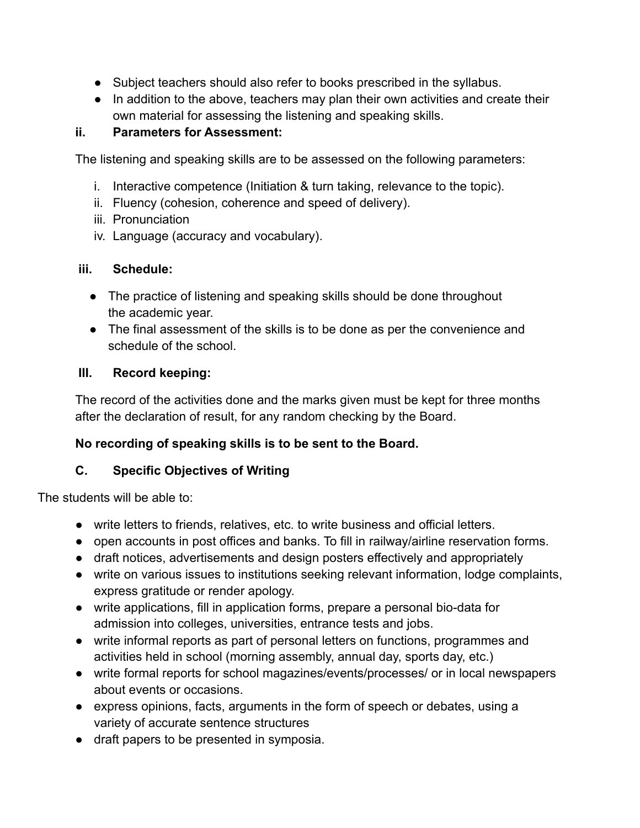- Subject teachers should also refer to books prescribed in the syllabus.
- In addition to the above, teachers may plan their own activities and create their own material for assessing the listening and speaking skills.

# **ii. Parameters for Assessment:**

The listening and speaking skills are to be assessed on the following parameters:

- i. Interactive competence (Initiation & turn taking, relevance to the topic).
- ii. Fluency (cohesion, coherence and speed of delivery).
- iii. Pronunciation
- iv. Language (accuracy and vocabulary).

# **iii. Schedule:**

- The practice of listening and speaking skills should be done throughout the academic year.
- The final assessment of the skills is to be done as per the convenience and schedule of the school.

### **III. Record keeping:**

The record of the activities done and the marks given must be kept for three months after the declaration of result, for any random checking by the Board.

# **No recording of speaking skills is to be sent to the Board.**

# **C. Specific Objectives of Writing**

The students will be able to:

- write letters to friends, relatives, etc. to write business and official letters.
- open accounts in post offices and banks. To fill in railway/airline reservation forms.
- draft notices, advertisements and design posters effectively and appropriately
- write on various issues to institutions seeking relevant information, lodge complaints, express gratitude or render apology.
- write applications, fill in application forms, prepare a personal bio-data for admission into colleges, universities, entrance tests and jobs.
- write informal reports as part of personal letters on functions, programmes and activities held in school (morning assembly, annual day, sports day, etc.)
- write formal reports for school magazines/events/processes/ or in local newspapers about events or occasions.
- express opinions, facts, arguments in the form of speech or debates, using a variety of accurate sentence structures
- draft papers to be presented in symposia.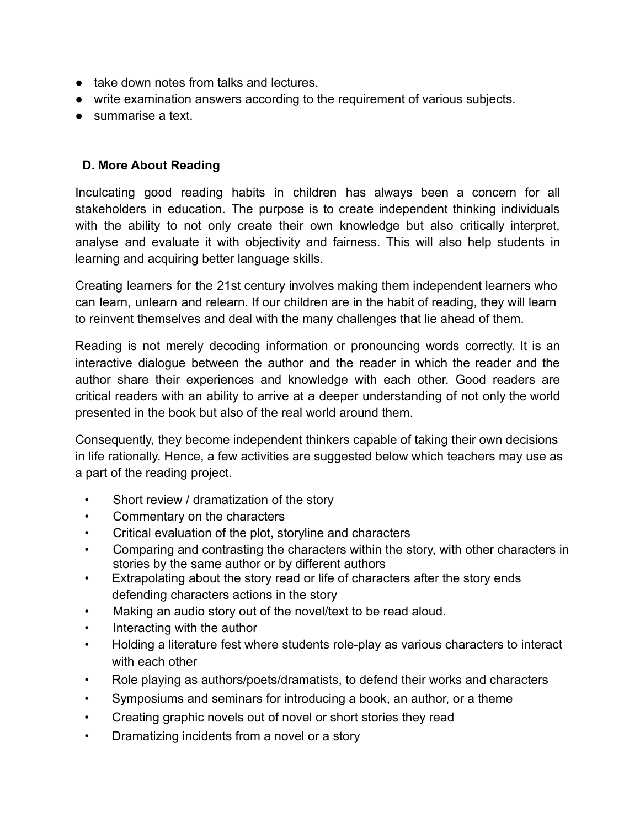- take down notes from talks and lectures.
- write examination answers according to the requirement of various subjects.
- summarise a text.

# **D. More About Reading**

Inculcating good reading habits in children has always been a concern for all stakeholders in education. The purpose is to create independent thinking individuals with the ability to not only create their own knowledge but also critically interpret, analyse and evaluate it with objectivity and fairness. This will also help students in learning and acquiring better language skills.

Creating learners for the 21st century involves making them independent learners who can learn, unlearn and relearn. If our children are in the habit of reading, they will learn to reinvent themselves and deal with the many challenges that lie ahead of them.

Reading is not merely decoding information or pronouncing words correctly. It is an interactive dialogue between the author and the reader in which the reader and the author share their experiences and knowledge with each other. Good readers are critical readers with an ability to arrive at a deeper understanding of not only the world presented in the book but also of the real world around them.

Consequently, they become independent thinkers capable of taking their own decisions in life rationally. Hence, a few activities are suggested below which teachers may use as a part of the reading project.

- Short review / dramatization of the story
- Commentary on the characters
- Critical evaluation of the plot, storyline and characters
- Comparing and contrasting the characters within the story, with other characters in stories by the same author or by different authors
- Extrapolating about the story read or life of characters after the story ends defending characters actions in the story
- Making an audio story out of the novel/text to be read aloud.
- Interacting with the author
- Holding a literature fest where students role-play as various characters to interact with each other
- Role playing as authors/poets/dramatists, to defend their works and characters
- Symposiums and seminars for introducing a book, an author, or a theme
- Creating graphic novels out of novel or short stories they read
- Dramatizing incidents from a novel or a story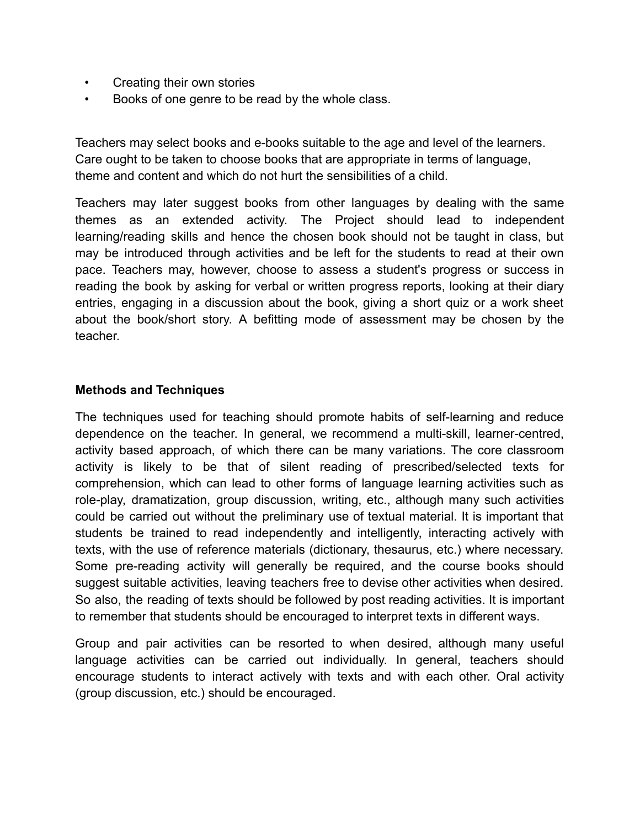- Creating their own stories
- Books of one genre to be read by the whole class.

Teachers may select books and e-books suitable to the age and level of the learners. Care ought to be taken to choose books that are appropriate in terms of language, theme and content and which do not hurt the sensibilities of a child.

Teachers may later suggest books from other languages by dealing with the same themes as an extended activity. The Project should lead to independent learning/reading skills and hence the chosen book should not be taught in class, but may be introduced through activities and be left for the students to read at their own pace. Teachers may, however, choose to assess a student's progress or success in reading the book by asking for verbal or written progress reports, looking at their diary entries, engaging in a discussion about the book, giving a short quiz or a work sheet about the book/short story. A befitting mode of assessment may be chosen by the teacher.

#### **Methods and Techniques**

The techniques used for teaching should promote habits of self-learning and reduce dependence on the teacher. In general, we recommend a multi-skill, learner-centred, activity based approach, of which there can be many variations. The core classroom activity is likely to be that of silent reading of prescribed/selected texts for comprehension, which can lead to other forms of language learning activities such as role-play, dramatization, group discussion, writing, etc., although many such activities could be carried out without the preliminary use of textual material. It is important that students be trained to read independently and intelligently, interacting actively with texts, with the use of reference materials (dictionary, thesaurus, etc.) where necessary. Some pre-reading activity will generally be required, and the course books should suggest suitable activities, leaving teachers free to devise other activities when desired. So also, the reading of texts should be followed by post reading activities. It is important to remember that students should be encouraged to interpret texts in different ways.

Group and pair activities can be resorted to when desired, although many useful language activities can be carried out individually. In general, teachers should encourage students to interact actively with texts and with each other. Oral activity (group discussion, etc.) should be encouraged.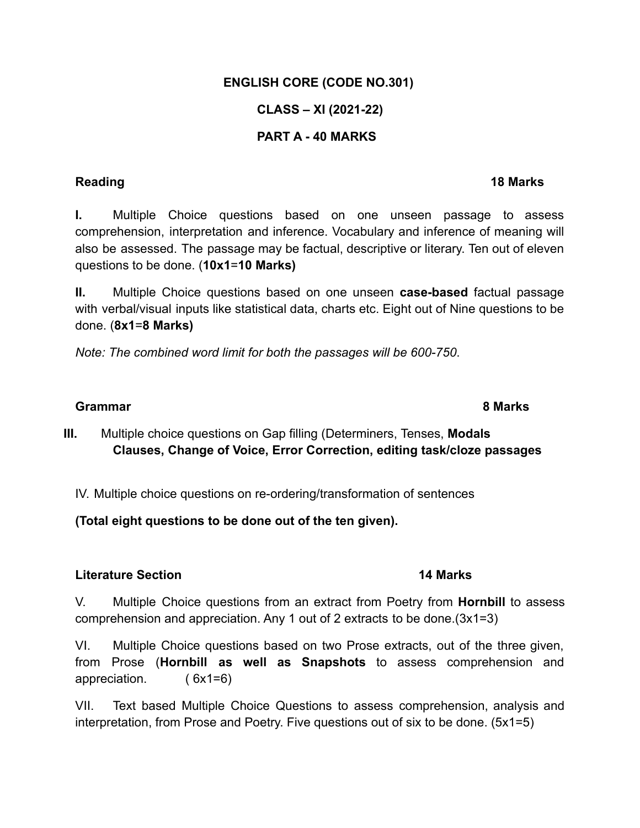### **ENGLISH CORE (CODE NO.301)**

# **CLASS – XI (2021-22)**

# **PART A - 40 MARKS**

**I.** Multiple Choice questions based on one unseen passage to assess comprehension, interpretation and inference. Vocabulary and inference of meaning will also be assessed. The passage may be factual, descriptive or literary. Ten out of eleven questions to be done. (**10x1**=**10 Marks)**

**II.** Multiple Choice questions based on one unseen **case-based** factual passage with verbal/visual inputs like statistical data, charts etc. Eight out of Nine questions to be done. (**8x1**=**8 Marks)**

*Note: The combined word limit for both the passages will be 600-750*.

#### **Grammar 8 Marks**

**III.** Multiple choice questions on Gap filling (Determiners, Tenses, **Modals Clauses, Change of Voice, Error Correction, editing task/cloze passages**

IV. Multiple choice questions on re-ordering/transformation of sentences

**(Total eight questions to be done out of the ten given).**

#### **Literature Section 14 Marks**

V. Multiple Choice questions from an extract from Poetry from **Hornbill** to assess comprehension and appreciation. Any 1 out of 2 extracts to be done.(3x1=3)

VI. Multiple Choice questions based on two Prose extracts, out of the three given, from Prose (**Hornbill as well as Snapshots** to assess comprehension and appreciation. ( 6x1=6)

VII. Text based Multiple Choice Questions to assess comprehension, analysis and interpretation, from Prose and Poetry. Five questions out of six to be done. (5x1=5)

# **Reading 18 Marks**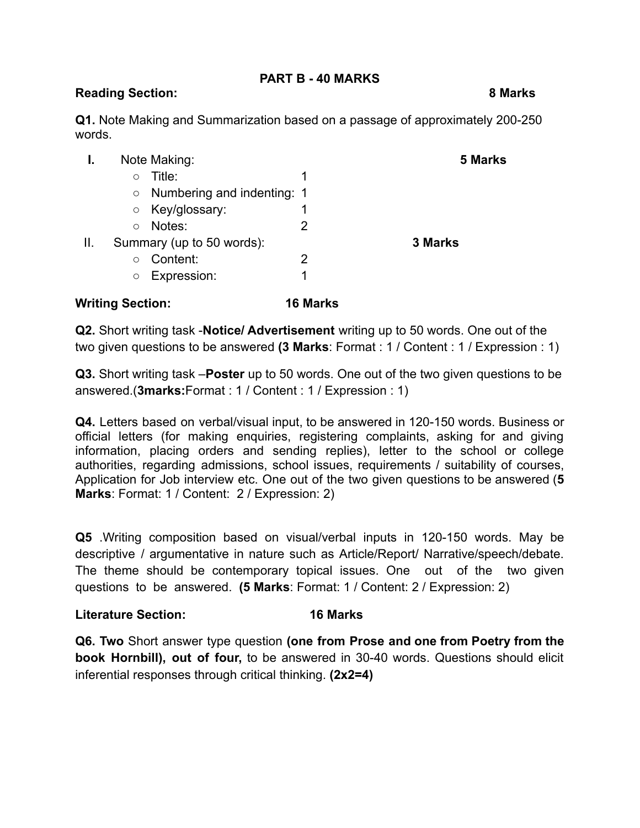#### **PART B - 40 MARKS**

### **Reading Section: 8 Marks**

**Q1.** Note Making and Summarization based on a passage of approximately 200-250 words.

|    | Note Making:                         |   | 5 Marks |  |
|----|--------------------------------------|---|---------|--|
|    | Title:<br>O                          |   |         |  |
|    | $\circ$ Numbering and indenting: 1   |   |         |  |
|    | Key/glossary:<br>$\circlearrowright$ |   |         |  |
|    | Notes:<br>$\circ$                    |   |         |  |
| Ш. | Summary (up to 50 words):            |   | 3 Marks |  |
|    | Content:<br>$\circ$                  | 2 |         |  |
|    | Expression:<br>O                     |   |         |  |

#### **Writing Section: 16 Marks**

**Q2.** Short writing task -**Notice/ Advertisement** writing up to 50 words. One out of the two given questions to be answered **(3 Marks**: Format : 1 / Content : 1 / Expression : 1)

**Q3.** Short writing task –**Poster** up to 50 words. One out of the two given questions to be answered.(**3marks:**Format : 1 / Content : 1 / Expression : 1)

**Q4.** Letters based on verbal/visual input, to be answered in 120-150 words. Business or official letters (for making enquiries, registering complaints, asking for and giving information, placing orders and sending replies), letter to the school or college authorities, regarding admissions, school issues, requirements / suitability of courses, Application for Job interview etc. One out of the two given questions to be answered (**5 Marks**: Format: 1 / Content: 2 / Expression: 2)

**Q5** .Writing composition based on visual/verbal inputs in 120-150 words. May be descriptive / argumentative in nature such as Article/Report/ Narrative/speech/debate. The theme should be contemporary topical issues. One out of the two given questions to be answered. **(5 Marks**: Format: 1 / Content: 2 / Expression: 2)

#### **Literature Section: 16 Marks**

**Q6. Two** Short answer type question **(one from Prose and one from Poetry from the book Hornbill), out of four,** to be answered in 30-40 words. Questions should elicit inferential responses through critical thinking. **(2x2=4)**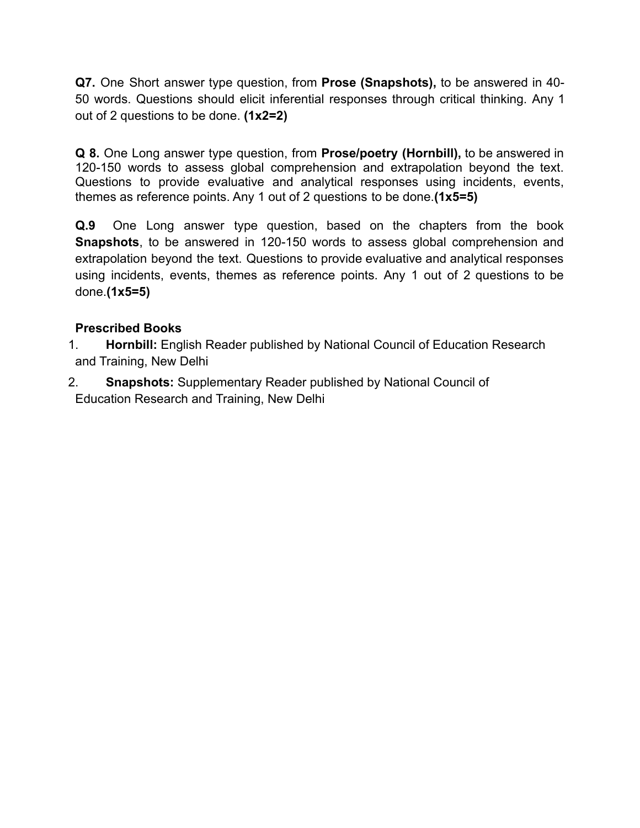**Q7.** One Short answer type question, from **Prose (Snapshots),** to be answered in 40- 50 words. Questions should elicit inferential responses through critical thinking. Any 1 out of 2 questions to be done. **(1x2=2)**

**Q 8.** One Long answer type question, from **Prose/poetry (Hornbill),** to be answered in 120-150 words to assess global comprehension and extrapolation beyond the text. Questions to provide evaluative and analytical responses using incidents, events, themes as reference points. Any 1 out of 2 questions to be done.**(1x5=5)**

**Q.9** One Long answer type question, based on the chapters from the book **Snapshots**, to be answered in 120-150 words to assess global comprehension and extrapolation beyond the text. Questions to provide evaluative and analytical responses using incidents, events, themes as reference points. Any 1 out of 2 questions to be done.**(1x5=5)**

# **Prescribed Books**

- 1. **Hornbill:** English Reader published by National Council of Education Research and Training, New Delhi
- 2. **Snapshots:** Supplementary Reader published by National Council of Education Research and Training, New Delhi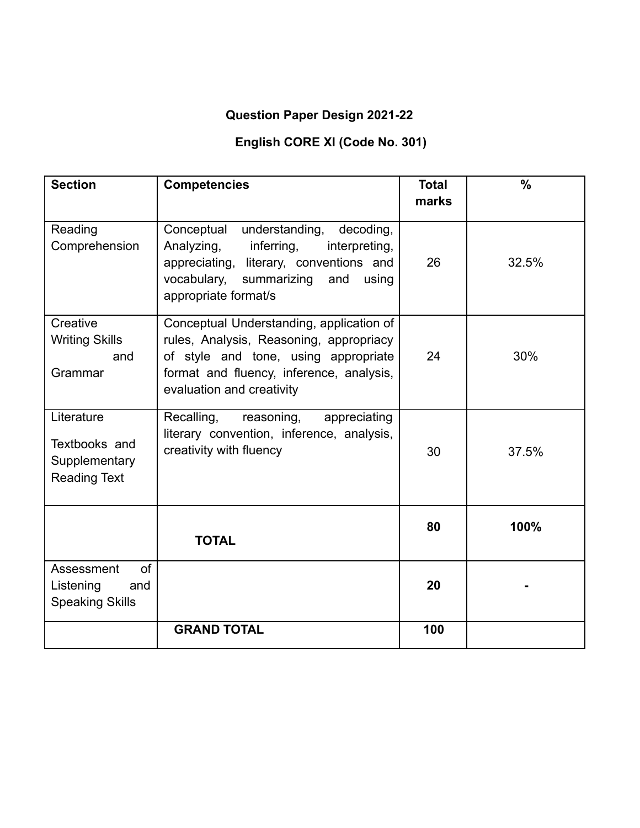# **Question Paper Design 2021-22**

# **English CORE XI (Code No. 301)**

| <b>Section</b>                                                      | <b>Competencies</b>                                                                                                                                                                                     | <b>Total</b><br>marks | $\frac{0}{0}$ |
|---------------------------------------------------------------------|---------------------------------------------------------------------------------------------------------------------------------------------------------------------------------------------------------|-----------------------|---------------|
| Reading<br>Comprehension                                            | Conceptual<br>understanding,<br>decoding,<br>Analyzing,<br>inferring,<br>interpreting,<br>literary, conventions and<br>appreciating,<br>summarizing and<br>vocabulary,<br>using<br>appropriate format/s | 26                    | 32.5%         |
| Creative<br><b>Writing Skills</b><br>and<br>Grammar                 | Conceptual Understanding, application of<br>rules, Analysis, Reasoning, appropriacy<br>of style and tone, using appropriate<br>format and fluency, inference, analysis,<br>evaluation and creativity    | 24                    | 30%           |
| Literature<br>Textbooks and<br>Supplementary<br><b>Reading Text</b> | Recalling,<br>reasoning,<br>appreciating<br>literary convention, inference, analysis,<br>creativity with fluency                                                                                        | 30                    | 37.5%         |
|                                                                     | <b>TOTAL</b>                                                                                                                                                                                            | 80                    | 100%          |
| of<br>Assessment<br>Listening<br>and<br><b>Speaking Skills</b>      |                                                                                                                                                                                                         | 20                    |               |
|                                                                     | <b>GRAND TOTAL</b>                                                                                                                                                                                      | 100                   |               |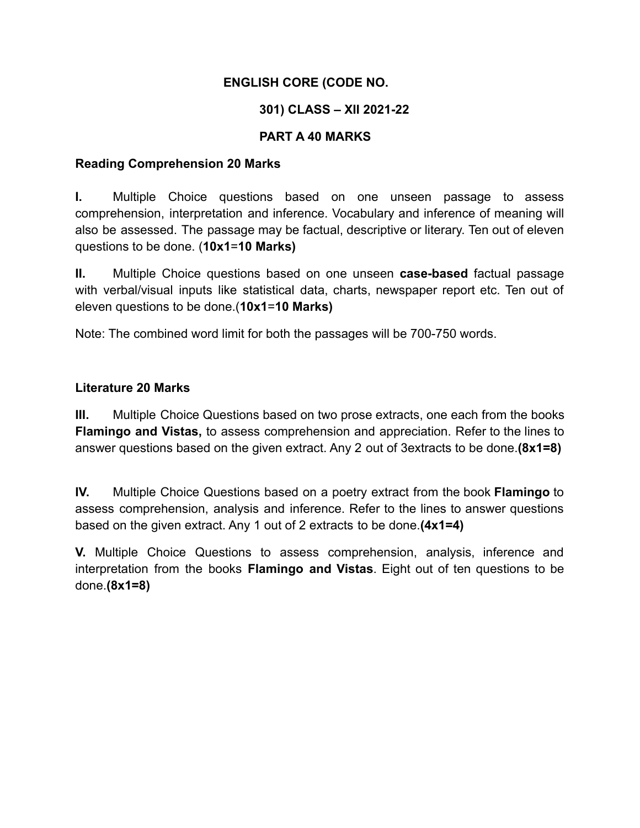# **ENGLISH CORE (CODE NO.**

# **301) CLASS – XII 2021-22**

# **PART A 40 MARKS**

### **Reading Comprehension 20 Marks**

**I.** Multiple Choice questions based on one unseen passage to assess comprehension, interpretation and inference. Vocabulary and inference of meaning will also be assessed. The passage may be factual, descriptive or literary. Ten out of eleven questions to be done. (**10x1**=**10 Marks)**

**II.** Multiple Choice questions based on one unseen **case-based** factual passage with verbal/visual inputs like statistical data, charts, newspaper report etc. Ten out of eleven questions to be done.(**10x1**=**10 Marks)**

Note: The combined word limit for both the passages will be 700-750 words.

### **Literature 20 Marks**

**III.** Multiple Choice Questions based on two prose extracts, one each from the books **Flamingo and Vistas,** to assess comprehension and appreciation. Refer to the lines to answer questions based on the given extract. Any 2 out of 3extracts to be done.**(8x1=8)**

**IV.** Multiple Choice Questions based on a poetry extract from the book **Flamingo** to assess comprehension, analysis and inference. Refer to the lines to answer questions based on the given extract. Any 1 out of 2 extracts to be done.**(4x1=4)**

**V.** Multiple Choice Questions to assess comprehension, analysis, inference and interpretation from the books **Flamingo and Vistas**. Eight out of ten questions to be done.**(8x1=8)**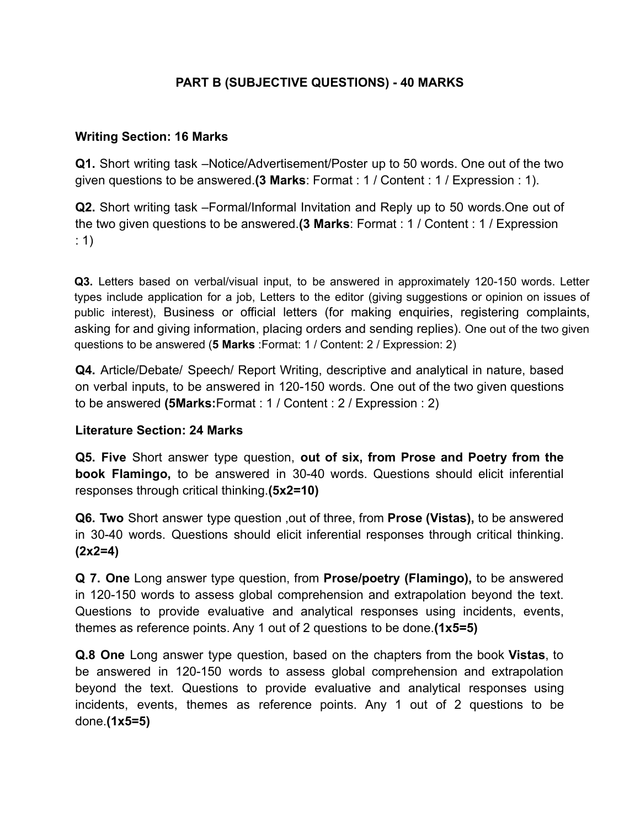# **PART B (SUBJECTIVE QUESTIONS) - 40 MARKS**

### **Writing Section: 16 Marks**

**Q1.** Short writing task –Notice/Advertisement/Poster up to 50 words. One out of the two given questions to be answered.**(3 Marks**: Format : 1 / Content : 1 / Expression : 1).

**Q2.** Short writing task –Formal/Informal Invitation and Reply up to 50 words.One out of the two given questions to be answered.**(3 Marks**: Format : 1 / Content : 1 / Expression : 1)

**Q3.** Letters based on verbal/visual input, to be answered in approximately 120-150 words. Letter types include application for a job, Letters to the editor (giving suggestions or opinion on issues of public interest), Business or official letters (for making enquiries, registering complaints, asking for and giving information, placing orders and sending replies). One out of the two given questions to be answered (**5 Marks** :Format: 1 / Content: 2 / Expression: 2)

**Q4.** Article/Debate/ Speech/ Report Writing, descriptive and analytical in nature, based on verbal inputs, to be answered in 120-150 words. One out of the two given questions to be answered **(5Marks:**Format : 1 / Content : 2 / Expression : 2)

#### **Literature Section: 24 Marks**

**Q5. Five** Short answer type question, **out of six, from Prose and Poetry from the book Flamingo,** to be answered in 30-40 words. Questions should elicit inferential responses through critical thinking.**(5x2=10)**

**Q6. Two** Short answer type question ,out of three, from **Prose (Vistas),** to be answered in 30-40 words. Questions should elicit inferential responses through critical thinking. **(2x2=4)**

**Q 7. One** Long answer type question, from **Prose/poetry (Flamingo),** to be answered in 120-150 words to assess global comprehension and extrapolation beyond the text. Questions to provide evaluative and analytical responses using incidents, events, themes as reference points. Any 1 out of 2 questions to be done.**(1x5=5)**

**Q.8 One** Long answer type question, based on the chapters from the book **Vistas**, to be answered in 120-150 words to assess global comprehension and extrapolation beyond the text. Questions to provide evaluative and analytical responses using incidents, events, themes as reference points. Any 1 out of 2 questions to be done.**(1x5=5)**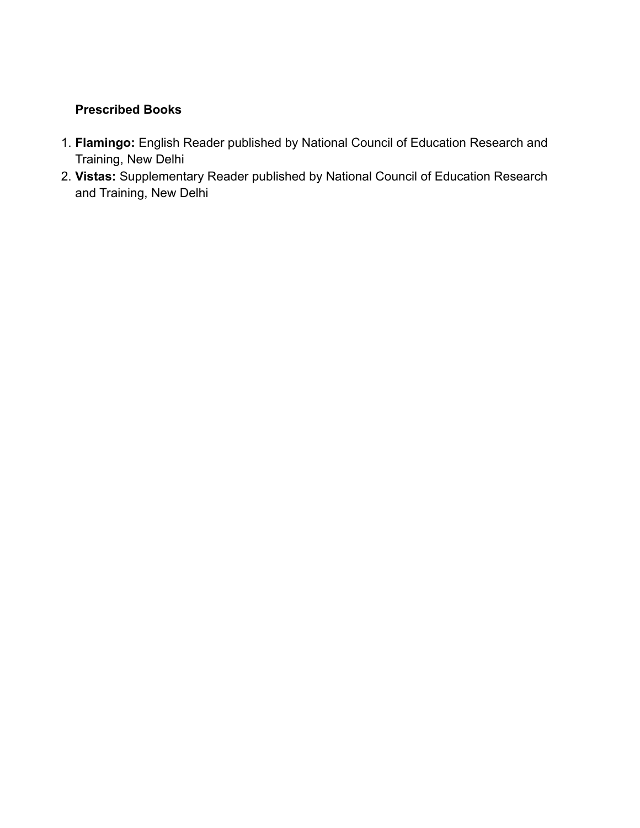# **Prescribed Books**

- 1. **Flamingo:** English Reader published by National Council of Education Research and Training, New Delhi
- 2. **Vistas:** Supplementary Reader published by National Council of Education Research and Training, New Delhi